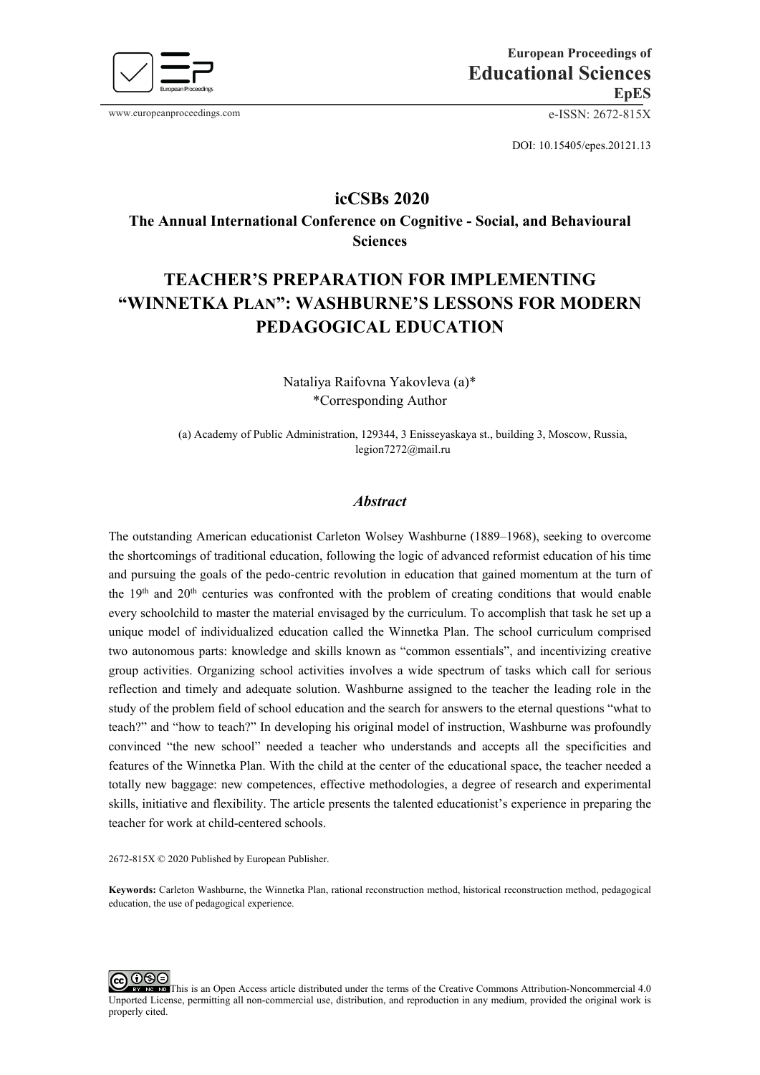

www.europeanproceedings.com e-ISSN: 2672-815X

DOI: 10.15405/epes.20121.13

## **icCSBs 2020**

**The Annual International Conference on Cognitive - Social, and Behavioural Sciences** 

# **TEACHER'S PREPARATION FOR IMPLEMENTING "WINNETKA PLAN": WASHBURNE'S LESSONS FOR MODERN PEDAGOGICAL EDUCATION**

Nataliya Raifovna Yakovleva (a)\* \*Corresponding Author

(а) Academy of Public Administration, 129344, 3 Enisseyaskaya st., building 3, Moscow, Russia, [legion7272@mail.ru](mailto:legion7272@mail.ru)

## *Abstract*

The outstanding American educationist Carleton Wolsey Washburne (1889–1968), seeking to overcome the shortcomings of traditional education, following the logic of advanced reformist education of his time and pursuing the goals of the pedo-centric revolution in education that gained momentum at the turn of the  $19<sup>th</sup>$  and  $20<sup>th</sup>$  centuries was confronted with the problem of creating conditions that would enable every schoolchild to master the material envisaged by the curriculum. To accomplish that task he set up a unique model of individualized education called the Winnetka Plan. The school curriculum comprised two autonomous parts: knowledge and skills known as "common essentials", and incentivizing creative group activities. Organizing school activities involves a wide spectrum of tasks which call for serious reflection and timely and adequate solution. Washburne assigned to the teacher the leading role in the study of the problem field of school education and the search for answers to the eternal questions "what to teach?" and "how to teach?" In developing his original model of instruction, Washburne was profoundly convinced "the new school" needed a teacher who understands and accepts all the specificities and features of the Winnetka Plan. With the child at the center of the educational space, the teacher needed a totally new baggage: new competences, effective methodologies, a degree of research and experimental skills, initiative and flexibility. The article presents the talented educationist's experience in preparing the teacher for work at child-centered schools.

2672-815X © 2020 Published by European Publisher.

**Keywords:** Carleton Washburne, the Winnetka Plan, rational reconstruction method, historical reconstruction method, pedagogical education, the use of pedagogical experience.

ೲ⊜ The This is an Open Access article distributed under the terms of the Creative Commons Attribution-Noncommercial 4.0 Unported License, permitting all non-commercial use, distribution, and reproduction in any medium, provided the original work is properly cited.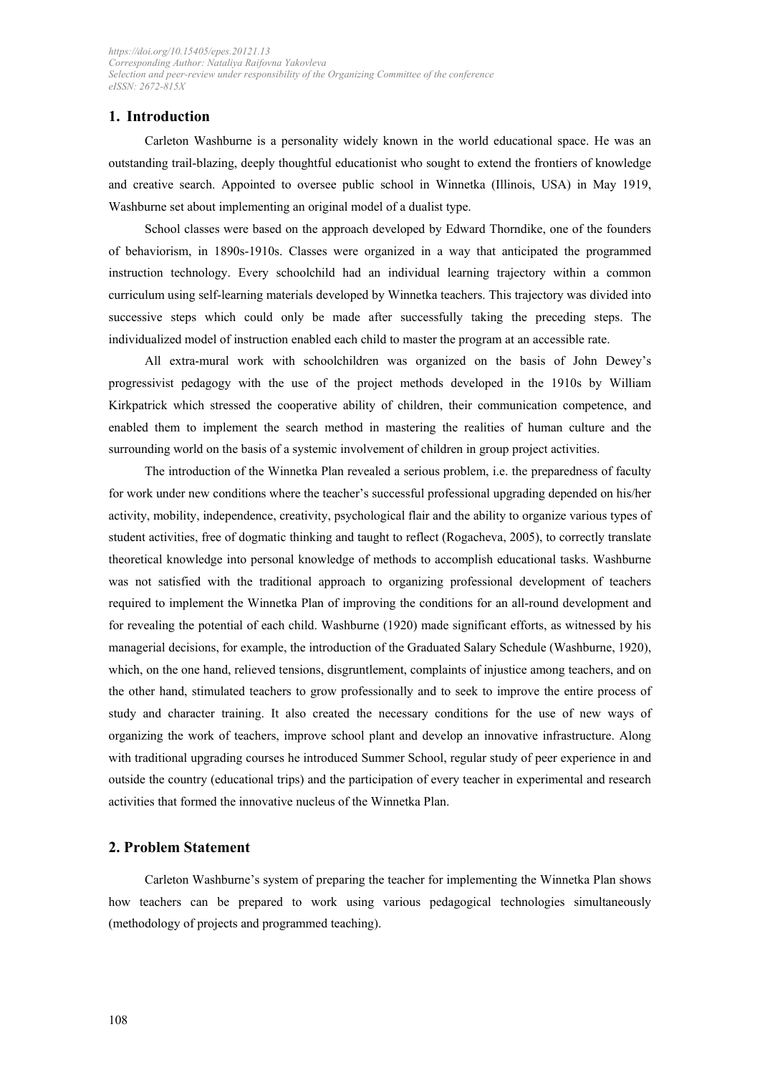## **1. Introduction**

Carleton Washburne is a personality widely known in the world educational space. He was an outstanding trail-blazing, deeply thoughtful educationist who sought to extend the frontiers of knowledge and creative search. Appointed to oversee public school in Winnetka (Illinois, USA) in May 1919, Washburne set about implementing an original model of a dualist type.

School classes were based on the approach developed by Edward Thorndike, one of the founders of behaviorism, in 1890s-1910s. Classes were organized in a way that anticipated the programmed instruction technology. Every schoolchild had an individual learning trajectory within a common curriculum using self-learning materials developed by Winnetka teachers. This trajectory was divided into successive steps which could only be made after successfully taking the preceding steps. The individualized model of instruction enabled each child to master the program at an accessible rate.

All extra-mural work with schoolchildren was organized on the basis of John Dewey's progressivist pedagogy with the use of the project methods developed in the 1910s by William Kirkpatrick which stressed the cooperative ability of children, their communication competence, and enabled them to implement the search method in mastering the realities of human culture and the surrounding world on the basis of a systemic involvement of children in group project activities.

The introduction of the Winnetka Plan revealed a serious problem, i.e. the preparedness of faculty for work under new conditions where the teacher's successful professional upgrading depended on his/her activity, mobility, independence, creativity, psychological flair and the ability to organize various types of student activities, free of dogmatic thinking and taught to reflect (Rogacheva, 2005), to correctly translate theoretical knowledge into personal knowledge of methods to accomplish educational tasks. Washburne was not satisfied with the traditional approach to organizing professional development of teachers required to implement the Winnetka Plan of improving the conditions for an all-round development and for revealing the potential of each child. Washburne (1920) made significant efforts, as witnessed by his managerial decisions, for example, the introduction of the Graduated Salary Schedule (Washburne, 1920), which, on the one hand, relieved tensions, disgruntlement, complaints of injustice among teachers, and on the other hand, stimulated teachers to grow professionally and to seek to improve the entire process of study and character training. It also created the necessary conditions for the use of new ways of organizing the work of teachers, improve school plant and develop an innovative infrastructure. Along with traditional upgrading courses he introduced Summer School, regular study of peer experience in and outside the country (educational trips) and the participation of every teacher in experimental and research activities that formed the innovative nucleus of the Winnetka Plan.

## **2. Problem Statement**

Carleton Washburne's system of preparing the teacher for implementing the Winnetka Plan shows how teachers can be prepared to work using various pedagogical technologies simultaneously (methodology of projects and programmed teaching).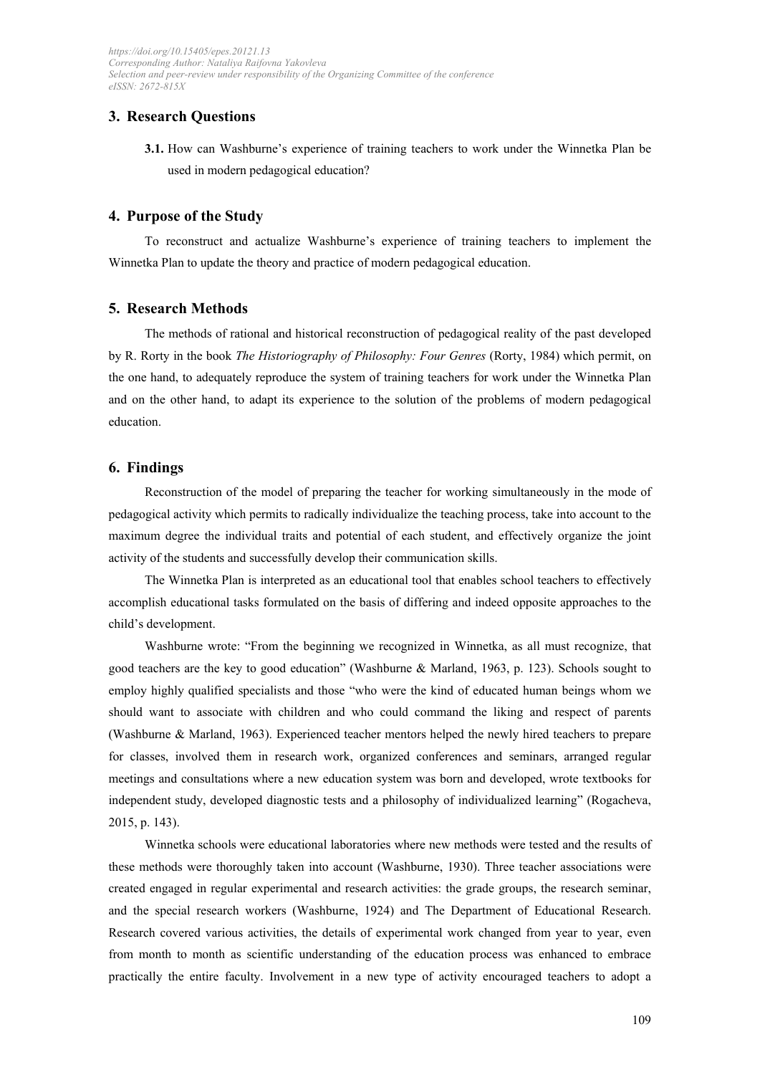## **3. Research Questions**

**3.1.** How can Washburne's experience of training teachers to work under the Winnetka Plan be used in modern pedagogical education?

#### **4. Purpose of the Study**

To reconstruct and actualize Washburne's experience of training teachers to implement the Winnetka Plan to update the theory and practice of modern pedagogical education.

#### **5. Research Methods**

The methods of rational and historical reconstruction of pedagogical reality of the past developed by R. Rorty in the book *The Historiography of Philosophy: Four Genres* (Rorty, 1984) which permit, on the one hand, to adequately reproduce the system of training teachers for work under the Winnetka Plan and on the other hand, to adapt its experience to the solution of the problems of modern pedagogical education.

## **6. Findings**

Reconstruction of the model of preparing the teacher for working simultaneously in the mode of pedagogical activity which permits to radically individualize the teaching process, take into account to the maximum degree the individual traits and potential of each student, and effectively organize the joint activity of the students and successfully develop their communication skills.

The Winnetka Plan is interpreted as an educational tool that enables school teachers to effectively accomplish educational tasks formulated on the basis of differing and indeed opposite approaches to the child's development.

Washburne wrote: "From the beginning we recognized in Winnetka, as all must recognize, that good teachers are the key to good education" (Washburne & Marland, 1963, p. 123). Schools sought to employ highly qualified specialists and those "who were the kind of educated human beings whom we should want to associate with children and who could command the liking and respect of parents (Washburne & Marland, 1963). Experienced teacher mentors helped the newly hired teachers to prepare for classes, involved them in research work, organized conferences and seminars, arranged regular meetings and consultations where a new education system was born and developed, wrote textbooks for independent study, developed diagnostic tests and a philosophy of individualized learning" (Rogacheva, 2015, р. 143).

Winnetka schools were educational laboratories where new methods were tested and the results of these methods were thoroughly taken into account (Washburne, 1930). Three teacher associations were created engaged in regular experimental and research activities: the grade groups, the research seminar, and the special research workers (Washburne, 1924) and The Department of Educational Research. Research covered various activities, the details of experimental work changed from year to year, even from month to month as scientific understanding of the education process was enhanced to embrace practically the entire faculty. Involvement in a new type of activity encouraged teachers to adopt a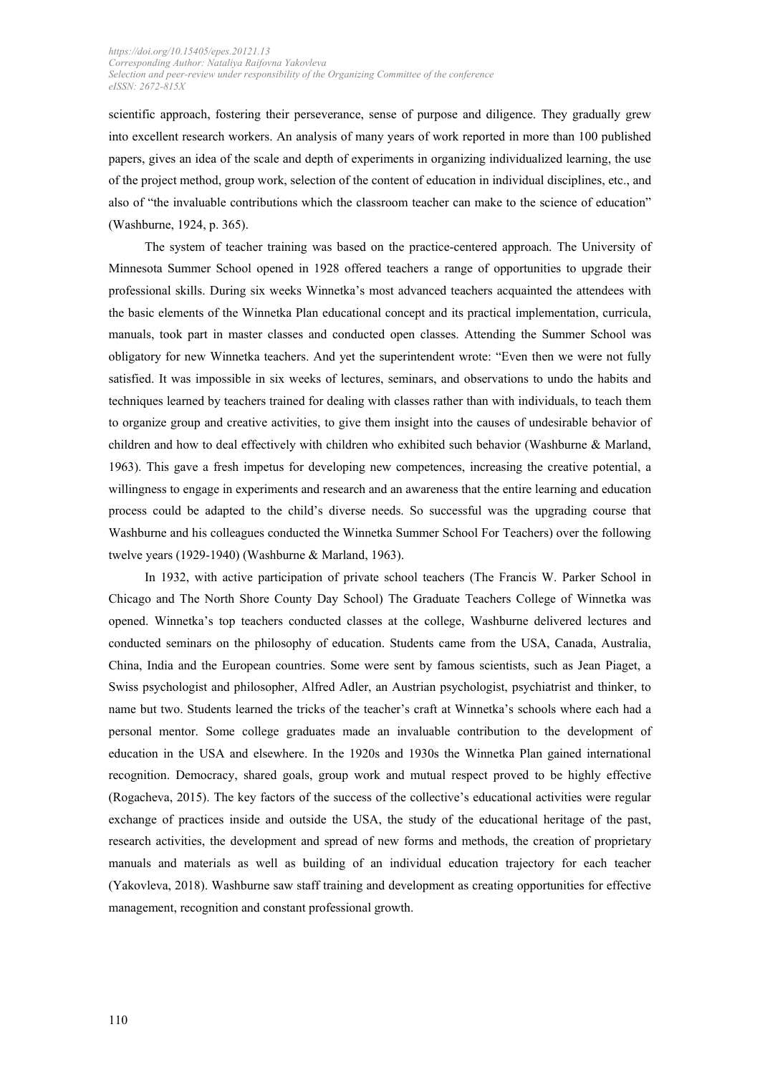scientific approach, fostering their perseverance, sense of purpose and diligence. They gradually grew into excellent research workers. An analysis of many years of work reported in more than 100 published papers, gives an idea of the scale and depth of experiments in organizing individualized learning, the use of the project method, group work, selection of the content of education in individual disciplines, etc., and also of "the invaluable contributions which the classroom teacher can make to the science of education" (Washburne, 1924, p. 365).

The system of teacher training was based on the practice-centered approach. The University of Minnesota Summer School opened in 1928 offered teachers a range of opportunities to upgrade their professional skills. During six weeks Winnetka's most advanced teachers acquainted the attendees with the basic elements of the Winnetka Plan educational concept and its practical implementation, curricula, manuals, took part in master classes and conducted open classes. Attending the Summer School was obligatory for new Winnetka teachers. And yet the superintendent wrote: "Even then we were not fully satisfied. It was impossible in six weeks of lectures, seminars, and observations to undo the habits and techniques learned by teachers trained for dealing with classes rather than with individuals, to teach them to organize group and creative activities, to give them insight into the causes of undesirable behavior of children and how to deal effectively with children who exhibited such behavior (Washburne & Marland, 1963). This gave a fresh impetus for developing new competences, increasing the creative potential, a willingness to engage in experiments and research and an awareness that the entire learning and education process could be adapted to the child's diverse needs. So successful was the upgrading course that Washburne and his colleagues conducted the Winnetka Summer School For Teachers) over the following twelve years (1929-1940) (Washburne & Marland, 1963).

In 1932, with active participation of private school teachers (The Francis W. Parker School in Chicago and The North Shore County Day School) The Graduate Teachers College of Winnetka was opened. Winnetka's top teachers conducted classes at the college, Washburne delivered lectures and conducted seminars on the philosophy of education. Students came from the USA, Canada, Australia, China, India and the European countries. Some were sent by famous scientists, such as Jean Piaget, a Swiss psychologist and philosopher, Alfred Adler, an Austrian psychologist, psychiatrist and thinker, to name but two. Students learned the tricks of the teacher's craft at Winnetka's schools where each had a personal mentor. Some college graduates made an invaluable contribution to the development of education in the USA and elsewhere. In the 1920s and 1930s the Winnetka Plan gained international recognition. Democracy, shared goals, group work and mutual respect proved to be highly effective (Rogacheva, 2015). The key factors of the success of the collective's educational activities were regular exchange of practices inside and outside the USA, the study of the educational heritage of the past, research activities, the development and spread of new forms and methods, the creation of proprietary manuals and materials as well as building of an individual education trajectory for each teacher (Yakovleva, 2018). Washburne saw staff training and development as creating opportunities for effective management, recognition and constant professional growth.